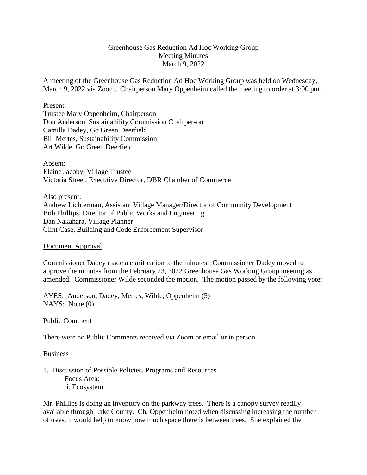# Greenhouse Gas Reduction Ad Hoc Working Group Meeting Minutes March 9, 2022

A meeting of the Greenhouse Gas Reduction Ad Hoc Working Group was held on Wednesday, March 9, 2022 via Zoom. Chairperson Mary Oppenheim called the meeting to order at 3:00 pm.

#### Present:

Trustee Mary Oppenheim, Chairperson Don Anderson, Sustainability Commission Chairperson Camilla Dadey, Go Green Deerfield Bill Mertes, Sustainability Commission Art Wilde, Go Green Deerfield

## Absent:

Elaine Jacoby, Village Trustee Victoria Street, Executive Director, DBR Chamber of Commerce

## Also present:

Andrew Lichterman, Assistant Village Manager/Director of Community Development Bob Phillips, Director of Public Works and Engineering Dan Nakahara, Village Planner Clint Case, Building and Code Enforcement Supervisor

## Document Approval

Commissioner Dadey made a clarification to the minutes. Commissioner Dadey moved to approve the minutes from the February 23, 2022 Greenhouse Gas Working Group meeting as amended. Commissioner Wilde seconded the motion. The motion passed by the following vote:

AYES: Anderson, Dadey, Mertes, Wilde, Oppenheim (5) NAYS: None (0)

## Public Comment

There were no Public Comments received via Zoom or email or in person.

#### Business

1. Discussion of Possible Policies, Programs and Resources Focus Area: i. Ecosystem

Mr. Phillips is doing an inventory on the parkway trees. There is a canopy survey readily available through Lake County. Ch. Oppenheim noted when discussing increasing the number of trees, it would help to know how much space there is between trees. She explained the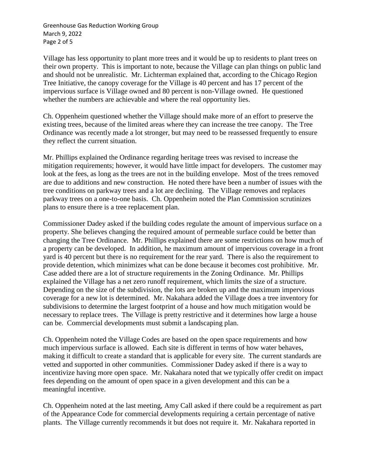Greenhouse Gas Reduction Working Group March 9, 2022 Page 2 of 5

Village has less opportunity to plant more trees and it would be up to residents to plant trees on their own property. This is important to note, because the Village can plan things on public land and should not be unrealistic. Mr. Lichterman explained that, according to the Chicago Region Tree Initiative, the canopy coverage for the Village is 40 percent and has 17 percent of the impervious surface is Village owned and 80 percent is non-Village owned. He questioned whether the numbers are achievable and where the real opportunity lies.

Ch. Oppenheim questioned whether the Village should make more of an effort to preserve the existing trees, because of the limited areas where they can increase the tree canopy. The Tree Ordinance was recently made a lot stronger, but may need to be reassessed frequently to ensure they reflect the current situation.

Mr. Phillips explained the Ordinance regarding heritage trees was revised to increase the mitigation requirements; however, it would have little impact for developers. The customer may look at the fees, as long as the trees are not in the building envelope. Most of the trees removed are due to additions and new construction. He noted there have been a number of issues with the tree conditions on parkway trees and a lot are declining. The Village removes and replaces parkway trees on a one-to-one basis. Ch. Oppenheim noted the Plan Commission scrutinizes plans to ensure there is a tree replacement plan.

Commissioner Dadey asked if the building codes regulate the amount of impervious surface on a property. She believes changing the required amount of permeable surface could be better than changing the Tree Ordinance. Mr. Phillips explained there are some restrictions on how much of a property can be developed. In addition, he maximum amount of impervious coverage in a front yard is 40 percent but there is no requirement for the rear yard. There is also the requirement to provide detention, which minimizes what can be done because it becomes cost prohibitive. Mr. Case added there are a lot of structure requirements in the Zoning Ordinance. Mr. Phillips explained the Village has a net zero runoff requirement, which limits the size of a structure. Depending on the size of the subdivision, the lots are broken up and the maximum impervious coverage for a new lot is determined. Mr. Nakahara added the Village does a tree inventory for subdivisions to determine the largest footprint of a house and how much mitigation would be necessary to replace trees. The Village is pretty restrictive and it determines how large a house can be. Commercial developments must submit a landscaping plan.

Ch. Oppenheim noted the Village Codes are based on the open space requirements and how much impervious surface is allowed. Each site is different in terms of how water behaves, making it difficult to create a standard that is applicable for every site. The current standards are vetted and supported in other communities. Commissioner Dadey asked if there is a way to incentivize having more open space. Mr. Nakahara noted that we typically offer credit on impact fees depending on the amount of open space in a given development and this can be a meaningful incentive.

Ch. Oppenheim noted at the last meeting, Amy Call asked if there could be a requirement as part of the Appearance Code for commercial developments requiring a certain percentage of native plants. The Village currently recommends it but does not require it. Mr. Nakahara reported in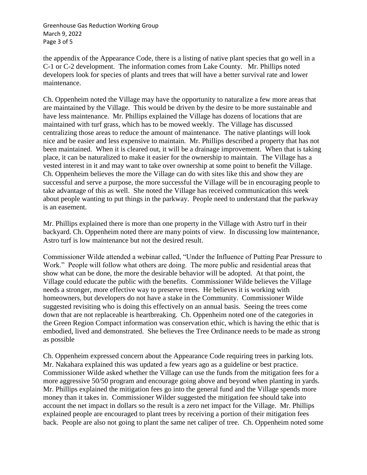Greenhouse Gas Reduction Working Group March 9, 2022 Page 3 of 5

the appendix of the Appearance Code, there is a listing of native plant species that go well in a C-1 or C-2 development. The information comes from Lake County. Mr. Phillips noted developers look for species of plants and trees that will have a better survival rate and lower maintenance.

Ch. Oppenheim noted the Village may have the opportunity to naturalize a few more areas that are maintained by the Village. This would be driven by the desire to be more sustainable and have less maintenance. Mr. Phillips explained the Village has dozens of locations that are maintained with turf grass, which has to be mowed weekly. The Village has discussed centralizing those areas to reduce the amount of maintenance. The native plantings will look nice and be easier and less expensive to maintain. Mr. Phillips described a property that has not been maintained. When it is cleared out, it will be a drainage improvement. When that is taking place, it can be naturalized to make it easier for the ownership to maintain. The Village has a vested interest in it and may want to take over ownership at some point to benefit the Village. Ch. Oppenheim believes the more the Village can do with sites like this and show they are successful and serve a purpose, the more successful the Village will be in encouraging people to take advantage of this as well. She noted the Village has received communication this week about people wanting to put things in the parkway. People need to understand that the parkway is an easement.

Mr. Phillips explained there is more than one property in the Village with Astro turf in their backyard. Ch. Oppenheim noted there are many points of view. In discussing low maintenance, Astro turf is low maintenance but not the desired result.

Commissioner Wilde attended a webinar called, "Under the Influence of Putting Pear Pressure to Work." People will follow what others are doing. The more public and residential areas that show what can be done, the more the desirable behavior will be adopted. At that point, the Village could educate the public with the benefits. Commissioner Wilde believes the Village needs a stronger, more effective way to preserve trees. He believes it is working with homeowners, but developers do not have a stake in the Community. Commissioner Wilde suggested revisiting who is doing this effectively on an annual basis. Seeing the trees come down that are not replaceable is heartbreaking. Ch. Oppenheim noted one of the categories in the Green Region Compact information was conservation ethic, which is having the ethic that is embodied, lived and demonstrated. She believes the Tree Ordinance needs to be made as strong as possible

Ch. Oppenheim expressed concern about the Appearance Code requiring trees in parking lots. Mr. Nakahara explained this was updated a few years ago as a guideline or best practice. Commissioner Wilde asked whether the Village can use the funds from the mitigation fees for a more aggressive 50/50 program and encourage going above and beyond when planting in yards. Mr. Phillips explained the mitigation fees go into the general fund and the Village spends more money than it takes in. Commissioner Wilder suggested the mitigation fee should take into account the net impact in dollars so the result is a zero net impact for the Village. Mr. Phillips explained people are encouraged to plant trees by receiving a portion of their mitigation fees back. People are also not going to plant the same net caliper of tree. Ch. Oppenheim noted some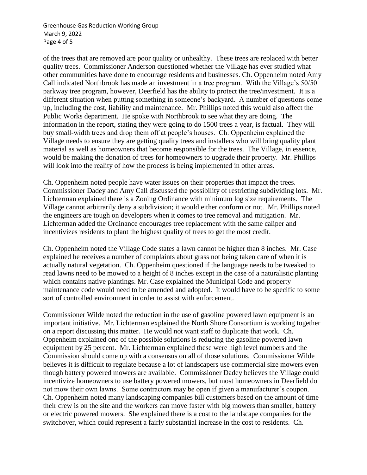Greenhouse Gas Reduction Working Group March 9, 2022 Page 4 of 5

of the trees that are removed are poor quality or unhealthy. These trees are replaced with better quality trees. Commissioner Anderson questioned whether the Village has ever studied what other communities have done to encourage residents and businesses. Ch. Oppenheim noted Amy Call indicated Northbrook has made an investment in a tree program. With the Village's 50/50 parkway tree program, however, Deerfield has the ability to protect the tree/investment. It is a different situation when putting something in someone's backyard. A number of questions come up, including the cost, liability and maintenance. Mr. Phillips noted this would also affect the Public Works department. He spoke with Northbrook to see what they are doing. The information in the report, stating they were going to do 1500 trees a year, is factual. They will buy small-width trees and drop them off at people's houses. Ch. Oppenheim explained the Village needs to ensure they are getting quality trees and installers who will bring quality plant material as well as homeowners that become responsible for the trees. The Village, in essence, would be making the donation of trees for homeowners to upgrade their property. Mr. Phillips will look into the reality of how the process is being implemented in other areas.

Ch. Oppenheim noted people have water issues on their properties that impact the trees. Commissioner Dadey and Amy Call discussed the possibility of restricting subdividing lots. Mr. Lichterman explained there is a Zoning Ordinance with minimum log size requirements. The Village cannot arbitrarily deny a subdivision; it would either conform or not. Mr. Phillips noted the engineers are tough on developers when it comes to tree removal and mitigation. Mr. Lichterman added the Ordinance encourages tree replacement with the same caliper and incentivizes residents to plant the highest quality of trees to get the most credit.

Ch. Oppenheim noted the Village Code states a lawn cannot be higher than 8 inches. Mr. Case explained he receives a number of complaints about grass not being taken care of when it is actually natural vegetation. Ch. Oppenheim questioned if the language needs to be tweaked to read lawns need to be mowed to a height of 8 inches except in the case of a naturalistic planting which contains native plantings. Mr. Case explained the Municipal Code and property maintenance code would need to be amended and adopted. It would have to be specific to some sort of controlled environment in order to assist with enforcement.

Commissioner Wilde noted the reduction in the use of gasoline powered lawn equipment is an important initiative. Mr. Lichterman explained the North Shore Consortium is working together on a report discussing this matter. He would not want staff to duplicate that work. Ch. Oppenheim explained one of the possible solutions is reducing the gasoline powered lawn equipment by 25 percent. Mr. Lichterman explained these were high level numbers and the Commission should come up with a consensus on all of those solutions. Commissioner Wilde believes it is difficult to regulate because a lot of landscapers use commercial size mowers even though battery powered mowers are available. Commissioner Dadey believes the Village could incentivize homeowners to use battery powered mowers, but most homeowners in Deerfield do not mow their own lawns. Some contractors may be open if given a manufacturer's coupon. Ch. Oppenheim noted many landscaping companies bill customers based on the amount of time their crew is on the site and the workers can move faster with big mowers than smaller, battery or electric powered mowers. She explained there is a cost to the landscape companies for the switchover, which could represent a fairly substantial increase in the cost to residents. Ch.